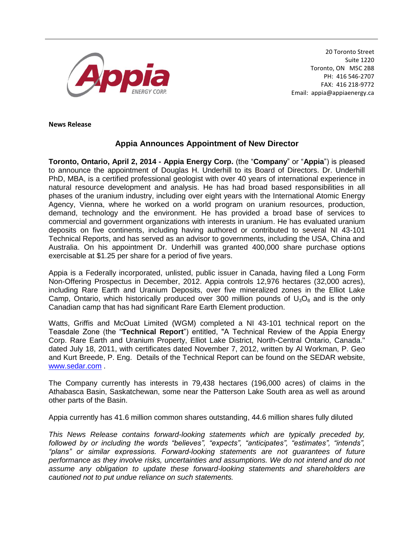

20 Toronto Street Suite 1220 Toronto, ON M5C 2B8 PH: 416 546-2707 FAX: 416 218-9772 Email: appia@appiaenergy.ca

**News Release** 

## **Appia Announces Appointment of New Director**

**Toronto, Ontario, April 2, 2014 - Appia Energy Corp.** (the "**Company**" or "**Appia**") is pleased to announce the appointment of Douglas H. Underhill to its Board of Directors. Dr. Underhill PhD, MBA, is a certified professional geologist with over 40 years of international experience in natural resource development and analysis. He has had broad based responsibilities in all phases of the uranium industry, including over eight years with the International Atomic Energy Agency, Vienna, where he worked on a world program on uranium resources, production, demand, technology and the environment. He has provided a broad base of services to commercial and government organizations with interests in uranium. He has evaluated uranium deposits on five continents, including having authored or contributed to several NI 43-101 Technical Reports, and has served as an advisor to governments, including the USA, China and Australia. On his appointment Dr. Underhill was granted 400,000 share purchase options exercisable at \$1.25 per share for a period of five years.

Appia is a Federally incorporated, unlisted, public issuer in Canada, having filed a Long Form Non-Offering Prospectus in December, 2012. Appia controls 12,976 hectares (32,000 acres), including Rare Earth and Uranium Deposits, over five mineralized zones in the Elliot Lake Camp, Ontario, which historically produced over 300 million pounds of  $U_3O_8$  and is the only Canadian camp that has had significant Rare Earth Element production.

Watts, Griffis and McOuat Limited (WGM) completed a NI 43-101 technical report on the Teasdale Zone (the "**Technical Report**") entitled, "A Technical Review of the Appia Energy Corp. Rare Earth and Uranium Property, Elliot Lake District, North-Central Ontario, Canada." dated July 18, 2011, with certificates dated November 7, 2012, written by Al Workman, P. Geo and Kurt Breede, P. Eng. Details of the Technical Report can be found on the SEDAR website, [www.sedar.com](http://www.sedar.com/) .

The Company currently has interests in 79,438 hectares (196,000 acres) of claims in the Athabasca Basin, Saskatchewan, some near the Patterson Lake South area as well as around other parts of the Basin.

Appia currently has 41.6 million common shares outstanding, 44.6 million shares fully diluted

*This News Release contains forward-looking statements which are typically preceded by, followed by or including the words "believes", "expects", "anticipates", "estimates", "intends", "plans" or similar expressions. Forward-looking statements are not guarantees of future performance as they involve risks, uncertainties and assumptions. We do not intend and do not assume any obligation to update these forward-looking statements and shareholders are cautioned not to put undue reliance on such statements.*